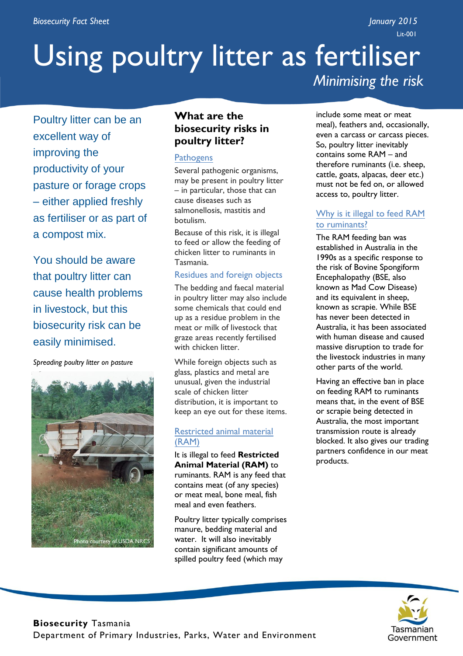Lit-001

# Using poultry litter as fertiliser *Minimising the risk*

Poultry litter can be an excellent way of improving the productivity of your pasture or forage crops – either applied freshly as fertiliser or as part of a compost mix.

You should be aware that poultry litter can cause health problems in livestock, but this biosecurity risk can be easily minimised.

*Spreading poultry litter on pasture*



## **What are the biosecurity risks in poultry litter?**

#### **Pathogens**

Several pathogenic organisms, may be present in poultry litter – in particular, those that can cause diseases such as salmonellosis, mastitis and botulism.

Because of this risk, it is illegal to feed or allow the feeding of chicken litter to ruminants in Tasmania.

#### Residues and foreign objects

The bedding and faecal material in poultry litter may also include some chemicals that could end up as a residue problem in the meat or milk of livestock that graze areas recently fertilised with chicken litter.

While foreign objects such as glass, plastics and metal are unusual, given the industrial scale of chicken litter distribution, it is important to keep an eye out for these items.

#### Restricted animal material (RAM)

It is illegal to feed **Restricted Animal Material (RAM)** to ruminants. RAM is any feed that contains meat (of any species) or meat meal, bone meal, fish meal and even feathers.

Poultry litter typically comprises manure, bedding material and water. It will also inevitably contain significant amounts of spilled poultry feed (which may

include some meat or meat meal), feathers and, occasionally, even a carcass or carcass pieces. So, poultry litter inevitably contains some RAM – and therefore ruminants (i.e. sheep, cattle, goats, alpacas, deer etc.) must not be fed on, or allowed access to, poultry litter.

#### Why is it illegal to feed RAM to ruminants?

The RAM feeding ban was established in Australia in the 1990s as a specific response to the risk of Bovine Spongiform Encephalopathy (BSE, also known as Mad Cow Disease) and its equivalent in sheep, known as scrapie. While BSE has never been detected in Australia, it has been associated with human disease and caused massive disruption to trade for the livestock industries in many other parts of the world.

Having an effective ban in place on feeding RAM to ruminants means that, in the event of BSE or scrapie being detected in Australia, the most important transmission route is already blocked. It also gives our trading partners confidence in our meat products.